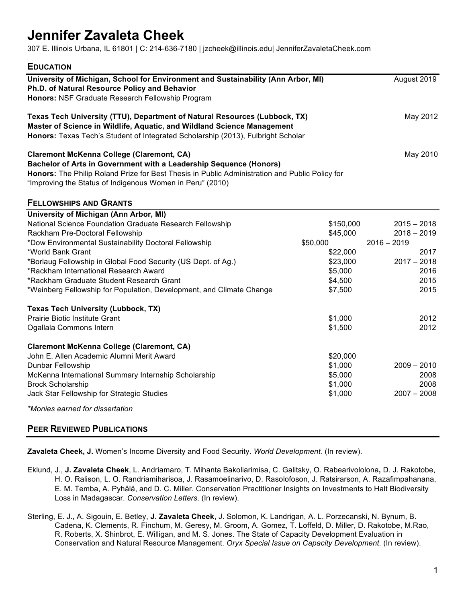# **Jennifer Zavaleta Cheek**

307 E. Illinois Urbana, IL 61801 | C: 214-636-7180 | jzcheek@illinois.edu| JenniferZavaletaCheek.com

| <b>EDUCATION</b>                                                                                                                                                                                                                                                                                                                                                                                                                                  |                                                                                            |                                                                                                  |
|---------------------------------------------------------------------------------------------------------------------------------------------------------------------------------------------------------------------------------------------------------------------------------------------------------------------------------------------------------------------------------------------------------------------------------------------------|--------------------------------------------------------------------------------------------|--------------------------------------------------------------------------------------------------|
| University of Michigan, School for Environment and Sustainability (Ann Arbor, MI)<br>Ph.D. of Natural Resource Policy and Behavior<br>Honors: NSF Graduate Research Fellowship Program                                                                                                                                                                                                                                                            |                                                                                            | August 2019                                                                                      |
| Texas Tech University (TTU), Department of Natural Resources (Lubbock, TX)<br>Master of Science in Wildlife, Aquatic, and Wildland Science Management<br>Honors: Texas Tech's Student of Integrated Scholarship (2013), Fulbright Scholar                                                                                                                                                                                                         |                                                                                            | May 2012                                                                                         |
| <b>Claremont McKenna College (Claremont, CA)</b><br>Bachelor of Arts in Government with a Leadership Sequence (Honors)<br>Honors: The Philip Roland Prize for Best Thesis in Public Administration and Public Policy for<br>"Improving the Status of Indigenous Women in Peru" (2010)                                                                                                                                                             |                                                                                            | May 2010                                                                                         |
| <b>FELLOWSHIPS AND GRANTS</b>                                                                                                                                                                                                                                                                                                                                                                                                                     |                                                                                            |                                                                                                  |
| University of Michigan (Ann Arbor, MI)<br>National Science Foundation Graduate Research Fellowship<br>Rackham Pre-Doctoral Fellowship<br>*Dow Environmental Sustainability Doctoral Fellowship<br>*World Bank Grant<br>*Borlaug Fellowship in Global Food Security (US Dept. of Ag.)<br>*Rackham International Research Award<br>*Rackham Graduate Student Research Grant<br>*Weinberg Fellowship for Population, Development, and Climate Change | \$150,000<br>\$45,000<br>\$50,000<br>\$22,000<br>\$23,000<br>\$5,000<br>\$4,500<br>\$7,500 | $2015 - 2018$<br>$2018 - 2019$<br>$2016 - 2019$<br>2017<br>$2017 - 2018$<br>2016<br>2015<br>2015 |
| <b>Texas Tech University (Lubbock, TX)</b><br>Prairie Biotic Institute Grant<br>Ogallala Commons Intern                                                                                                                                                                                                                                                                                                                                           | \$1,000<br>\$1,500                                                                         | 2012<br>2012                                                                                     |
| <b>Claremont McKenna College (Claremont, CA)</b><br>John E. Allen Academic Alumni Merit Award<br>Dunbar Fellowship<br>McKenna International Summary Internship Scholarship<br><b>Brock Scholarship</b><br>Jack Star Fellowship for Strategic Studies                                                                                                                                                                                              | \$20,000<br>\$1,000<br>\$5,000<br>\$1,000<br>\$1,000                                       | $2009 - 2010$<br>2008<br>2008<br>$2007 - 2008$                                                   |
| *Monies earned for dissertation                                                                                                                                                                                                                                                                                                                                                                                                                   |                                                                                            |                                                                                                  |

### **PEER REVIEWED PUBLICATIONS**

**Zavaleta Cheek, J.** Women's Income Diversity and Food Security. *World Development.* (In review).

- Eklund, J., **J. Zavaleta Cheek**, L. Andriamaro, T. Mihanta Bakoliarimisa, C. Galitsky, O. Rabearivololona**,** D. J. Rakotobe, H. O. Ralison, L. O. Randriamiharisoa, J. Rasamoelinarivo, D. Rasolofoson, J. Ratsirarson, A. Razafimpahanana, E. M. Temba, A. Pyhälä, and D. C. Miller. Conservation Practitioner Insights on Investments to Halt Biodiversity Loss in Madagascar. *Conservation Letters*. (In review).
- Sterling, E. J., A. Sigouin, E. Betley, **J. Zavaleta Cheek**, J. Solomon, K. Landrigan, A. L. Porzecanski, N. Bynum, B. Cadena, K. Clements, R. Finchum, M. Geresy, M. Groom, A. Gomez, T. Loffeld, D. Miller, D. Rakotobe, M.Rao, R. Roberts, X. Shinbrot, E. Willigan, and M. S. Jones. The State of Capacity Development Evaluation in Conservation and Natural Resource Management. *Oryx Special Issue on Capacity Development.* (In review).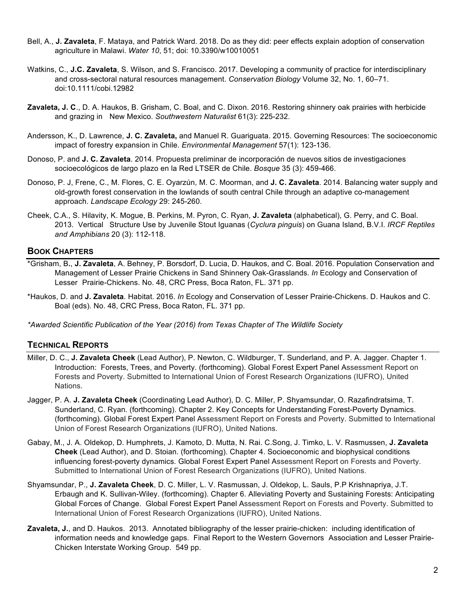- Bell, A., **J. Zavaleta**, F. Mataya, and Patrick Ward. 2018. Do as they did: peer effects explain adoption of conservation agriculture in Malawi. *Water 10*, 51; doi: 10.3390/w10010051
- Watkins, C., **J.C. Zavaleta**, S. Wilson, and S. Francisco. 2017. Developing a community of practice for interdisciplinary and cross-sectoral natural resources management. *Conservation Biology* Volume 32, No. 1, 60–71. doi:10.1111/cobi.12982
- **Zavaleta, J. C**., D. A. Haukos, B. Grisham, C. Boal, and C. Dixon. 2016. Restoring shinnery oak prairies with herbicide and grazing in New Mexico. *Southwestern Naturalist* 61(3): 225-232.
- Andersson, K., D. Lawrence, **J. C. Zavaleta,** and Manuel R. Guariguata. 2015. Governing Resources: The socioeconomic impact of forestry expansion in Chile. *Environmental Management* 57(1): 123-136.
- Donoso, P. and **J. C. Zavaleta**. 2014. Propuesta preliminar de incorporación de nuevos sitios de investigaciones socioecológicos de largo plazo en la Red LTSER de Chile. *Bosque* 35 (3): 459-466.
- Donoso, P. J, Frene, C., M. Flores, C. E. Oyarzún, M. C. Moorman, and **J. C. Zavaleta**. 2014. Balancing water supply and old-growth forest conservation in the lowlands of south central Chile through an adaptive co-management approach. *Landscape Ecology* 29: 245-260.
- Cheek, C.A., S. Hilavity, K. Mogue, B. Perkins, M. Pyron, C. Ryan, **J. Zavaleta** (alphabetical), G. Perry, and C. Boal. 2013. Vertical Structure Use by Juvenile Stout Iguanas (*Cyclura pinguis*) on Guana Island, B.V.I. *IRCF Reptiles and Amphibians* 20 (3): 112-118.

#### **BOOK CHAPTERS**

- \*Grisham, B**.**, **J. Zavaleta**, A. Behney, P. Borsdorf, D. Lucia, D. Haukos, and C. Boal. 2016. Population Conservation and Management of Lesser Prairie Chickens in Sand Shinnery Oak-Grasslands. *In* Ecology and Conservation of Lesser Prairie-Chickens. No. 48, CRC Press, Boca Raton, FL. 371 pp.
- \*Haukos, D. and **J. Zavaleta**. Habitat. 2016. *In* Ecology and Conservation of Lesser Prairie-Chickens. D. Haukos and C. Boal (eds). No. 48, CRC Press, Boca Raton, FL. 371 pp.

*\*Awarded Scientific Publication of the Year (2016) from Texas Chapter of The Wildlife Society* 

#### **TECHNICAL REPORTS**

- Miller, D. C., **J. Zavaleta Cheek** (Lead Author), P. Newton, C. Wildburger, T. Sunderland, and P. A. Jagger. Chapter 1. Introduction: Forests, Trees, and Poverty. (forthcoming). Global Forest Expert Panel Assessment Report on Forests and Poverty. Submitted to International Union of Forest Research Organizations (IUFRO), United Nations.
- Jagger, P. A. **J. Zavaleta Cheek** (Coordinating Lead Author), D. C. Miller, P. Shyamsundar, O. Razafindratsima, T. Sunderland, C. Ryan. (forthcoming). Chapter 2. Key Concepts for Understanding Forest-Poverty Dynamics. (forthcoming). Global Forest Expert Panel Assessment Report on Forests and Poverty. Submitted to International Union of Forest Research Organizations (IUFRO), United Nations.
- Gabay, M., J. A. Oldekop, D. Humphrets, J. Kamoto, D. Mutta, N. Rai. C.Song, J. Timko, L. V. Rasmussen, **J. Zavaleta Cheek** (Lead Author), and D. Stoian. (forthcoming). Chapter 4. Socioeconomic and biophysical conditions influencing forest-poverty dynamics. Global Forest Expert Panel Assessment Report on Forests and Poverty. Submitted to International Union of Forest Research Organizations (IUFRO), United Nations.
- Shyamsundar, P., **J. Zavaleta Cheek**, D. C. Miller, L. V. Rasmussan, J. Oldekop, L. Sauls, P.P Krishnapriya, J.T. Erbaugh and K. Sullivan-Wiley. (forthcoming). Chapter 6. Alleviating Poverty and Sustaining Forests: Anticipating Global Forces of Change. Global Forest Expert Panel Assessment Report on Forests and Poverty. Submitted to International Union of Forest Research Organizations (IUFRO), United Nations.
- **Zavaleta, J.**, and D. Haukos. 2013. Annotated bibliography of the lesser prairie-chicken: including identification of information needs and knowledge gaps. Final Report to the Western Governors Association and Lesser Prairie-Chicken Interstate Working Group. 549 pp.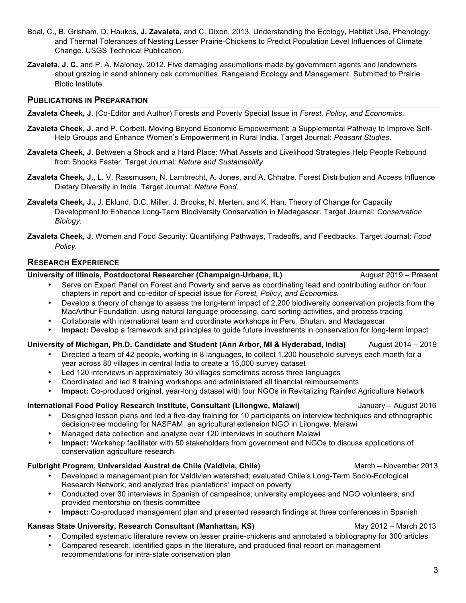- Boal, C., B. Grisham, D. Haukos, **J. Zavaleta**, and C. Dixon. 2013. Understanding the Ecology, Habitat Use, Phenology, and Thermal Tolerances of Nesting Lesser Prairie-Chickens to Predict Population Level Influences of Climate Change. USGS Technical Publication.
- **Zavaleta, J. C.** and P. A. Maloney. 2012. Five damaging assumptions made by government agents and landowners about grazing in sand shinnery oak communities. Rangeland Ecology and Management. Submitted to Prairie Biotic Institute.

#### **PUBLICATIONS IN PREPARATION**

**Zavaleta Cheek, J.** (Co-Editor and Author) Forests and Poverty Special Issue in *Forest, Policy, and Economics*.

- **Zavaleta Cheek, J.** and P. Corbett. Moving Beyond Economic Empowerment: a Supplemental Pathway to Improve Self-Help Groups and Enhance Women's Empowerment in Rural India. Target Journal: *Peasant Studies*.
- **Zavaleta Cheek, J.** Between a Shock and a Hard Place: What Assets and Livelihood Strategies Help People Rebound from Shocks Faster. Target Journal: *Nature and Sustainability*.
- **Zavaleta Cheek, J.**, L. V. Rassmusen, N. Lambrecht, A. Jones, and A. Chhatre. Forest Distribution and Access Influence Dietary Diversity in India. Target Journal: *Nature Food*.
- **Zavaleta Cheek, J.,** J. Eklund, D.C. Miller. J. Brooks, N. Merten, and K. Han. Theory of Change for Capacity Development to Enhance Long-Term Biodiversity Conservation in Madagascar. Target Journal: *Conservation Biology.*
- **Zavaleta Cheek, J.** Women and Food Security: Quantifying Pathways, Tradeoffs, and Feedbacks. Target Journal: *Food Policy.*

#### **RESEARCH EXPERIENCE**

#### **University of Illinois, Postdoctoral Researcher (Champaign-Urbana, IL)** August 2019 – Present

• Serve on Expert Panel on Forest and Poverty and serve as coordinating lead and contributing author on four chapters in report and co-editor of special issue for *Forest, Policy, and Economics.*

- Develop a theory of change to assess the long-term impact of 2,200 biodiversity conservation projects from the MacArthur Foundation, using natural language processing, card sorting activities, and process tracing
- Collaborate with international team and coordinate workshops in Peru, Bhutan, and Madagascar
- **Impact:** Develop a framework and principles to guide future investments in conservation for long-term impact

#### **University of Michigan, Ph.D. Candidate and Student (Ann Arbor, MI & Hyderabad, India)** August 2014 – 2019

- Directed a team of 42 people, working in 8 languages, to collect 1,200 household surveys each month for a year across 80 villages in central India to create a 15,000 survey dataset
- Led 120 interviews in approximately 30 villages sometimes across three languages
- Coordinated and led 8 training workshops and administered all financial reimbursements
- **Impact:** Co-produced original, year-long dataset with four NGOs in Revitalizing Rainfed Agriculture Network

#### **International Food Policy Research Institute, Consultant (Lilongwe, Malawi)** January – August 2016

- Designed lesson plans and led a five-day training for 10 participants on interview techniques and ethnographic decision-tree modeling for NASFAM, an agricultural extension NGO in Lilongwe, Malawi
- Managed data collection and analyze over 120 interviews in southern Malawi
- **Impact:** Workshop facilitator with 50 stakeholders from government and NGOs to discuss applications of conservation agriculture research

#### **Fulbright Program, Universidad Austral de Chile (Valdivia, Chile)** March – November 2013

- Developed a management plan for Valdivian watershed; evaluated Chile's Long-Term Socio-Ecological Research Network; and analyzed tree plantations' impact on poverty
- Conducted over 30 interviews in Spanish of campesinos, university employees and NGO volunteers, and provided mentorship on thesis committee
- **Impact:** Co-produced management plan and presented research findings at three conferences in Spanish

#### **Kansas State University, Research Consultant (Manhattan, KS)** May 2012 – March 2013

- Compiled systematic literature review on lesser prairie-chickens and annotated a bibliography for 300 articles
- Compared research, identified gaps in the literature, and produced final report on management recommendations for intra-state conservation plan

3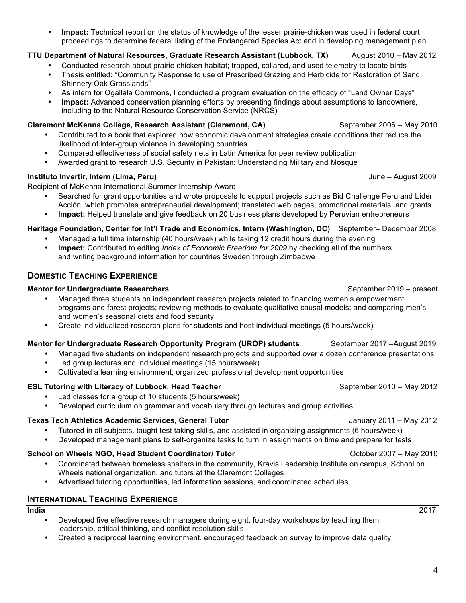• **Impact:** Technical report on the status of knowledge of the lesser prairie-chicken was used in federal court proceedings to determine federal listing of the Endangered Species Act and in developing management plan

#### **TTU Department of Natural Resources, Graduate Research Assistant (Lubbock, TX)** August 2010 – May 2012

- Conducted research about prairie chicken habitat; trapped, collared, and used telemetry to locate birds
- Thesis entitled: "Community Response to use of Prescribed Grazing and Herbicide for Restoration of Sand Shinnery Oak Grasslands"
- As intern for Ogallala Commons, I conducted a program evaluation on the efficacy of "Land Owner Days"
- **Impact:** Advanced conservation planning efforts by presenting findings about assumptions to landowners, including to the Natural Resource Conservation Service (NRCS)

### **Claremont McKenna College, Research Assistant (Claremont, CA) September 2006 – May 2010**

- Contributed to a book that explored how economic development strategies create conditions that reduce the likelihood of inter-group violence in developing countries
- Compared effectiveness of social safety nets in Latin America for peer review publication
- Awarded grant to research U.S. Security in Pakistan: Understanding Military and Mosque

#### **Instituto Invertir***,* **Intern (Lima, Peru)** June – August 2009

Recipient of McKenna International Summer Internship Award

- Searched for grant opportunities and wrote proposals to support projects such as Bid Challenge Peru and Líder Acción, which promotes entrepreneurial development; translated web pages, promotional materials, and grants
- **Impact:** Helped translate and give feedback on 20 business plans developed by Peruvian entrepreneurs

#### **Heritage Foundation, Center for Int'l Trade and Economics, Intern (Washington, DC)** September– December 2008

- Managed a full time internship (40 hours/week) while taking 12 credit hours during the evening
- **Impact:** Contributed to editing *Index of Economic Freedom for 2009* by checking all of the numbers and writing background information for countries Sweden through Zimbabwe

### **DOMESTIC TEACHING EXPERIENCE**

#### **Mentor for Undergraduate Researchers** September 2019 – present

- Managed three students on independent research projects related to financing women's empowerment programs and forest projects; reviewing methods to evaluate qualitative causal models; and comparing men's and women's seasonal diets and food security
- Create individualized research plans for students and host individual meetings (5 hours/week)

#### **Mentor for Undergraduate Research Opportunity Program (UROP) students** September 2017 –August 2019

- Managed five students on independent research projects and supported over a dozen conference presentations
- Led group lectures and individual meetings (15 hours/week)
- Cultivated a learning environment; organized professional development opportunities

#### **ESL Tutoring with Literacy of Lubbock, Head Teacher** September 2010 – May 2012

- Led classes for a group of 10 students (5 hours/week)
- Developed curriculum on grammar and vocabulary through lectures and group activities

#### **Texas Tech Athletics Academic Services, General Tutor** January 2011 – May 2012

- Tutored in all subjects, taught test taking skills, and assisted in organizing assignments (6 hours/week)<br>• Developed management plans to self-organize tasks to turn in assignments on time and prepare for test
- Developed management plans to self-organize tasks to turn in assignments on time and prepare for tests

#### **School on Wheels NGO, Head Student Coordinator/ Tutor Concerned Active Coordinator Act Act Act 2007 – May 2010**

- Coordinated between homeless shelters in the community, Kravis Leadership Institute on campus, School on Wheels national organization, and tutors at the Claremont Colleges
- Advertised tutoring opportunities, led information sessions, and coordinated schedules

#### **INTERNATIONAL TEACHING EXPERIENCE**

**India** 2017

- Developed five effective research managers during eight, four-day workshops by teaching them leadership, critical thinking, and conflict resolution skills
- Created a reciprocal learning environment, encouraged feedback on survey to improve data quality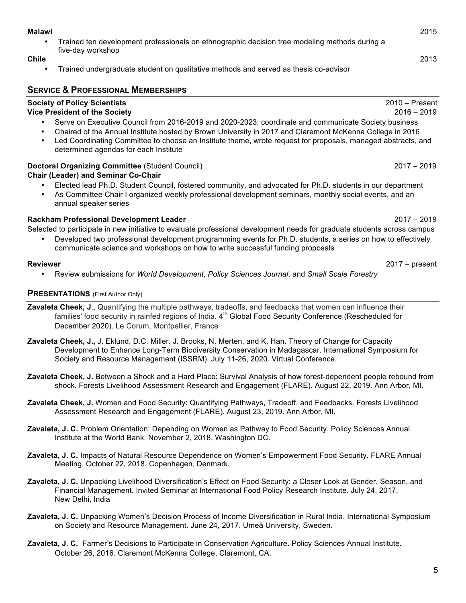#### **Malawi** 2015

• Trained ten development professionals on ethnographic decision tree modeling methods during a five-day workshop

#### **Chile** 2013

• Trained undergraduate student on qualitative methods and served as thesis co-advisor

#### **SERVICE & PROFESSIONAL MEMBERSHIPS**

## **Society of Policy Scientists** 2010 – Present

- **Vice President of the Society** 2016 2019 • Serve on Executive Council from 2016-2019 and 2020-2023; coordinate and communicate Society business
	- Chaired of the Annual Institute hosted by Brown University in 2017 and Claremont McKenna College in 2016
	- Led Coordinating Committee to choose an Institute theme, wrote request for proposals, managed abstracts, and determined agendas for each Institute

#### **Doctoral Organizing Committee** (Student Council)2017 – 2019

#### **Chair (Leader) and Seminar Co-Chair**

- Elected lead Ph.D. Student Council, fostered community, and advocated for Ph.D. students in our department
- As Committee Chair I organized weekly professional development seminars, monthly social events, and an annual speaker series

#### **Rackham Professional Development Leader** 2017 – 2019

Selected to participate in new initiative to evaluate professional development needs for graduate students across campus

• Developed two professional development programming events for Ph.D. students, a series on how to effectively communicate science and workshops on how to write successful funding proposals

• Review submissions for *World Development*, *Policy Sciences Journal*, and *Small Scale Forestry*

#### **PRESENTATIONS** (First Author Only)

- **Zavaleta Cheek, J**., Quantifying the multiple pathways, tradeoffs, and feedbacks that women can influence their families' food security in rainfed regions of India. 4<sup>th</sup> Global Food Security Conference (Rescheduled for December 2020). Le Corum, Montpellier, France
- **Zavaleta Cheek, J.,** J. Eklund, D.C. Miller. J. Brooks, N. Merten, and K. Han. Theory of Change for Capacity Development to Enhance Long-Term Biodiversity Conservation in Madagascar. International Symposium for Society and Resource Management (ISSRM). July 11-26, 2020. Virtual Conference.
- **Zavaleta Cheek, J.** Between a Shock and a Hard Place: Survival Analysis of how forest-dependent people rebound from shock. Forests Livelihood Assessment Research and Engagement (FLARE). August 22, 2019. Ann Arbor, MI.
- **Zavaleta Cheek, J.** Women and Food Security: Quantifying Pathways, Tradeoff, and Feedbacks. Forests Livelihood Assessment Research and Engagement (FLARE). August 23, 2019. Ann Arbor, MI.
- **Zavaleta, J. C.** Problem Orientation: Depending on Women as Pathway to Food Security. Policy Sciences Annual Institute at the World Bank. November 2, 2018. Washington DC.
- **Zavaleta, J. C.** Impacts of Natural Resource Dependence on Women's Empowerment Food Security. FLARE Annual Meeting. October 22, 2018. Copenhagen, Denmark.
- **Zavaleta, J. C.** Unpacking Livelihood Diversification's Effect on Food Security: a Closer Look at Gender, Season, and Financial Management. Invited Seminar at International Food Policy Research Institute. July 24, 2017. New Delhi, India
- **Zavaleta, J. C.** Unpacking Women's Decision Process of Income Diversification in Rural India. International Symposium on Society and Resource Management. June 24, 2017. Umeå University, Sweden.
- **Zavaleta, J. C.** Farmer's Decisions to Participate in Conservation Agriculture. Policy Sciences Annual Institute. October 26, 2016. Claremont McKenna College, Claremont, CA.

**Reviewer** 2017 – present